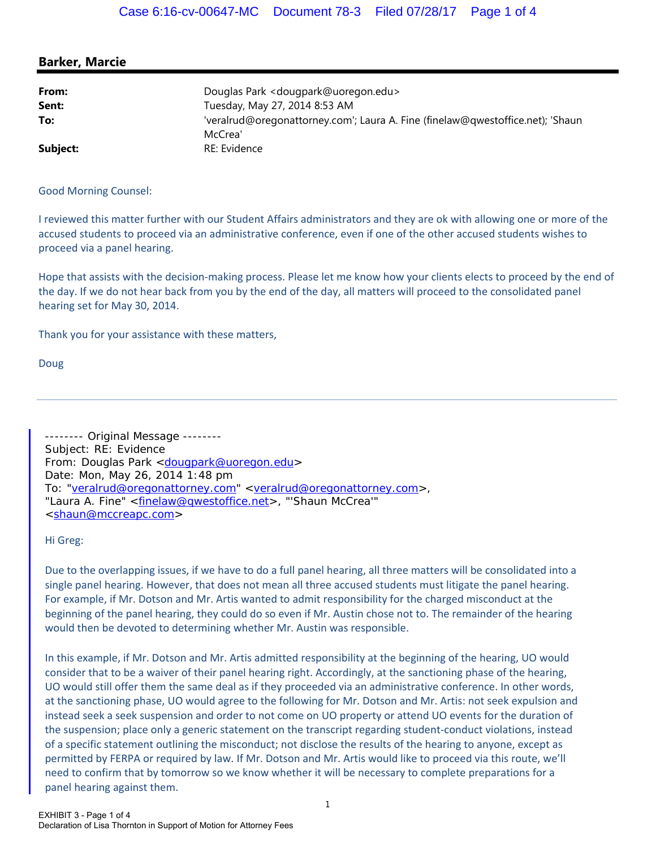## **Barker, Marcie**

| From:    | Douglas Park < dougpark@uoregon.edu>                                           |
|----------|--------------------------------------------------------------------------------|
| Sent:    | Tuesday, May 27, 2014 8:53 AM                                                  |
| To:      | 'veralrud@oregonattorney.com'; Laura A. Fine (finelaw@qwestoffice.net); 'Shaun |
|          | McCrea'                                                                        |
| Subject: | RE: Evidence                                                                   |

Good Morning Counsel:

I reviewed this matter further with our Student Affairs administrators and they are ok with allowing one or more of the accused students to proceed via an administrative conference, even if one of the other accused students wishes to proceed via a panel hearing.

Hope that assists with the decision-making process. Please let me know how your clients elects to proceed by the end of the day. If we do not hear back from you by the end of the day, all matters will proceed to the consolidated panel hearing set for May 30, 2014.

Thank you for your assistance with these matters,

Doug

-------- Original Message -------- Subject: RE: Evidence From: Douglas Park <dougpark@uoregon.edu> Date: Mon, May 26, 2014 1:48 pm To: "veralrud@oregonattorney.com" <veralrud@oregonattorney.com>, "Laura A. Fine" <finelaw@qwestoffice.net>, "'Shaun McCrea'" <shaun@mccreapc.com>

Hi Greg:

Due to the overlapping issues, if we have to do a full panel hearing, all three matters will be consolidated into a single panel hearing. However, that does not mean all three accused students must litigate the panel hearing. For example, if Mr. Dotson and Mr. Artis wanted to admit responsibility for the charged misconduct at the beginning of the panel hearing, they could do so even if Mr. Austin chose not to. The remainder of the hearing would then be devoted to determining whether Mr. Austin was responsible.

In this example, if Mr. Dotson and Mr. Artis admitted responsibility at the beginning of the hearing, UO would consider that to be a waiver of their panel hearing right. Accordingly, at the sanctioning phase of the hearing, UO would still offer them the same deal as if they proceeded via an administrative conference. In other words, at the sanctioning phase, UO would agree to the following for Mr. Dotson and Mr. Artis: not seek expulsion and instead seek a seek suspension and order to not come on UO property or attend UO events for the duration of the suspension; place only a generic statement on the transcript regarding student-conduct violations, instead of a specific statement outlining the misconduct; not disclose the results of the hearing to anyone, except as permitted by FERPA or required by law. If Mr. Dotson and Mr. Artis would like to proceed via this route, we'll need to confirm that by tomorrow so we know whether it will be necessary to complete preparations for a panel hearing against them.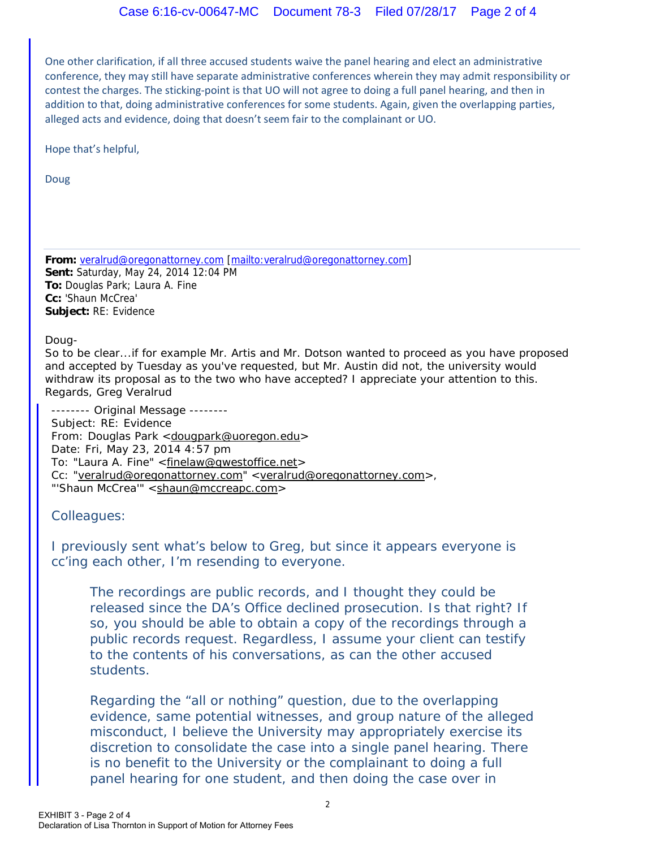One other clarification, if all three accused students waive the panel hearing and elect an administrative conference, they may still have separate administrative conferences wherein they may admit responsibility or contest the charges. The sticking-point is that UO will not agree to doing a full panel hearing, and then in addition to that, doing administrative conferences for some students. Again, given the overlapping parties, alleged acts and evidence, doing that doesn't seem fair to the complainant or UO.

Hope that's helpful,

Doug

**From:** veralrud@oregonattorney.com [mailto:veralrud@oregonattorney.com] **Sent:** Saturday, May 24, 2014 12:04 PM **To:** Douglas Park; Laura A. Fine **Cc:** 'Shaun McCrea' **Subject:** RE: Evidence

Doug-

So to be clear...if for example Mr. Artis and Mr. Dotson wanted to proceed as you have proposed and accepted by Tuesday as you've requested, but Mr. Austin did not, the university would withdraw its proposal as to the two who have accepted? I appreciate your attention to this. Regards, Greg Veralrud

-------- Original Message -------- Subject: RE: Evidence From: Douglas Park <dougpark@uoregon.edu> Date: Fri, May 23, 2014 4:57 pm To: "Laura A. Fine" <finelaw@qwestoffice.net> Cc: "veralrud@oregonattorney.com" <veralrud@oregonattorney.com>, "'Shaun McCrea'" <shaun@mccreapc.com>

Colleagues:

I previously sent what's below to Greg, but since it appears everyone is cc'ing each other, I'm resending to everyone.

The recordings are public records, and I thought they could be released since the DA's Office declined prosecution. Is that right? If so, you should be able to obtain a copy of the recordings through a public records request. Regardless, I assume your client can testify to the contents of his conversations, as can the other accused students.

Regarding the "all or nothing" question, due to the overlapping evidence, same potential witnesses, and group nature of the alleged misconduct, I believe the University may appropriately exercise its discretion to consolidate the case into a single panel hearing. There is no benefit to the University or the complainant to doing a full panel hearing for one student, and then doing the case over in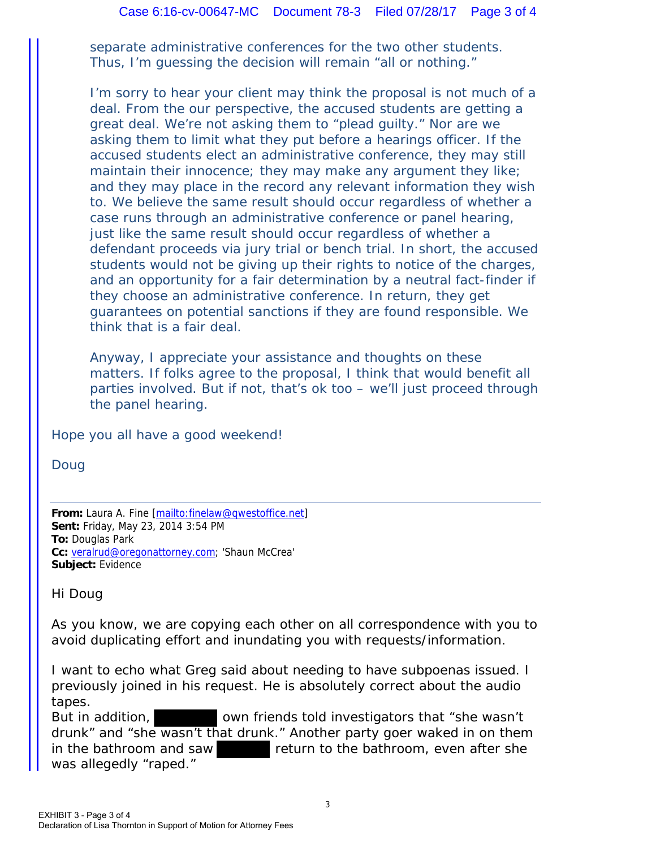separate administrative conferences for the two other students. Thus, I'm guessing the decision will remain "all or nothing."

I'm sorry to hear your client may think the proposal is not much of a deal. From the our perspective, the accused students are getting a great deal. We're not asking them to "plead guilty." Nor are we asking them to limit what they put before a hearings officer. If the accused students elect an administrative conference, they may still maintain their innocence; they may make any argument they like; and they may place in the record any relevant information they wish to. We believe the same result should occur regardless of whether a case runs through an administrative conference or panel hearing, just like the same result should occur regardless of whether a defendant proceeds via jury trial or bench trial. In short, the accused students would not be giving up their rights to notice of the charges, and an opportunity for a fair determination by a neutral fact-finder if they choose an administrative conference. In return, they get guarantees on potential sanctions if they are found responsible. We think that is a fair deal.

Anyway, I appreciate your assistance and thoughts on these matters. If folks agree to the proposal, I think that would benefit all parties involved. But if not, that's ok too – we'll just proceed through the panel hearing.

Hope you all have a good weekend!

Doug

From: Laura A. Fine [mailto:finelaw@qwestoffice.net] **Sent:** Friday, May 23, 2014 3:54 PM **To:** Douglas Park **Cc:** veralrud@oregonattorney.com; 'Shaun McCrea' **Subject:** Evidence

Hi Doug

As you know, we are copying each other on all correspondence with you to avoid duplicating effort and inundating you with requests/information.

I want to echo what Greg said about needing to have subpoenas issued. I previously joined in his request. He is absolutely correct about the audio tapes.

But in addition, sown friends told investigators that "she wasn't drunk" and "she wasn't that drunk." Another party goer waked in on them in the bathroom and saw return to the bathroom, even after she was allegedly "raped."